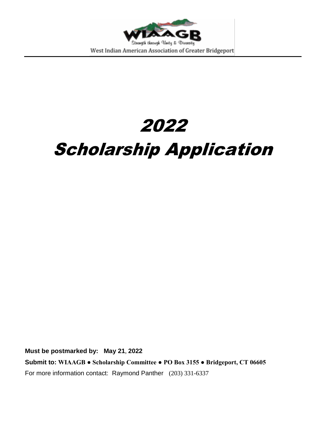

# 2022 Scholarship Application

**Must be postmarked by: May 21**, **2022 Submit to: WIAAGB ● Scholarship Committee** ● **PO Box 3155 ● Bridgeport, CT 06605** For more information contact: Raymond Panther (203) 331-6337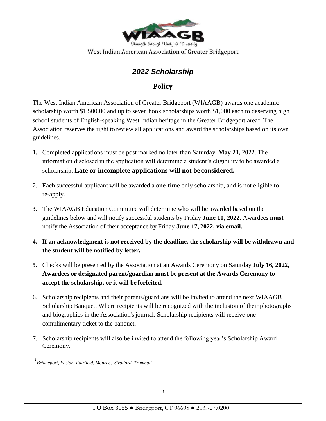

# *2022 Scholarship*

## **Policy**

The West Indian American Association of Greater Bridgeport (WIAAGB) awards one academic scholarship worth \$1,500.00 and up to seven book scholarships worth \$1,000 each to deserving high school students of English-speaking West Indian heritage in the Greater Bridgeport area<sup>1</sup>. The Association reserves the right to review all applications and award the scholarships based on its own guidelines.

- **1.** Completed applications must be post marked no later than Saturday, **May 21, 2022**. The information disclosed in the application will determine a student's eligibility to be awarded a scholarship. **Late or incomplete applications will not be considered.**
- 2. Each successful applicant will be awarded a **one-time** only scholarship, and is not eligible to re-apply.
- **3.** The WIAAGB Education Committee will determine who will be awarded based on the guidelines below and will notify successful students by Friday **June 10, 2022**. Awardees **must**  notify the Association of their acceptance by Friday **June 17, 2022, via email.**
- **4. If an acknowledgment is not received by the deadline, the scholarship will be withdrawn and the student will be notified by letter.**
- **5.** Checks will be presented by the Association at an Awards Ceremony on Saturday **July 16, 2022, Awardees or designated parent/guardian must be present at the Awards Ceremony to accept the scholarship, or it will be forfeited.**
- 6. Scholarship recipients and their parents/guardians will be invited to attend the next WIAAGB Scholarship Banquet. Where recipients will be recognized with the inclusion of their photographs and biographies in the Association's journal. Scholarship recipients will receive one complimentary ticket to the banquet.
- 7. Scholarship recipients will also be invited to attend the following year's Scholarship Award Ceremony.

*<sup>1</sup> Bridgeport, Easton, Fairfield, Monroe, Stratford, Trumbull*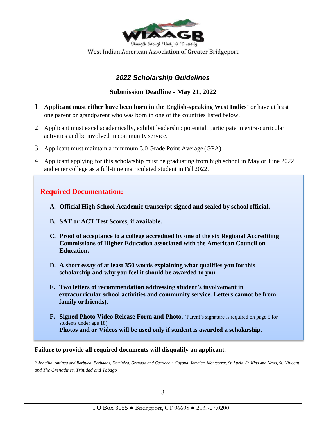

### *2022 Scholarship Guidelines*

#### **Submission Deadline - May 21, 2022**

- 1. Applicant must either have been born in the English-speaking West Indies<sup>2</sup> or have at least one parent or grandparent who was born in one of the countries listed below.
- 2. Applicant must excel academically, exhibit leadership potential, participate in extra-curricular activities and be involved in community service.
- 3. Applicant must maintain a minimum 3.0 Grade Point Average (GPA).
- 4. Applicant applying for this scholarship must be graduating from high school in May or June 2022 and enter college as a full-time matriculated student in Fall 2022.

## **Required Documentation:**

- **A. Official High School Academic transcript signed and sealed by school official.**
- **B. SAT or ACT Test Scores, if available.**
- **C. Proof of acceptance to a college accredited by one of the six Regional Accrediting Commissions of Higher Education associated with the American Council on Education.**
- **D. A short essay of at least 350 words explaining what qualifies you for this scholarship and why you feel it should be awarded to you.**
- **E. Two letters of recommendation addressing student's involvement in extracurricular school activities and community service. Letters cannot be from family or friends).**
- **F. Signed Photo Video Release Form and Photo.** (Parent's signature is required on page 5 for students under age 18).  **Photos and or Videos will be used only if student is awarded a scholarship.**

#### **Failure to provide all required documents will disqualify an applicant.**

2 Anguilla, Antigua and Barbuda, Barbados, Dominica, Grenada and Carriacou, Guyana, Jamaica, Montserrat, St. Lucia, St. Kitts and Nevis, St. Vincent *and The Grenadines, Trinidad and Tobago*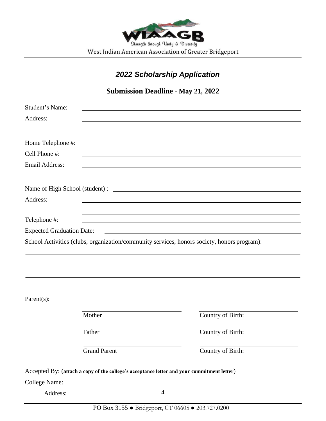

# *2022 Scholarship Application*

## **Submission Deadline - May 21, 2022**

| Student's Name:                                                                       |                     |                                                                                             |  |  |  |  |
|---------------------------------------------------------------------------------------|---------------------|---------------------------------------------------------------------------------------------|--|--|--|--|
| Address:                                                                              |                     |                                                                                             |  |  |  |  |
|                                                                                       |                     |                                                                                             |  |  |  |  |
| Home Telephone #:                                                                     |                     |                                                                                             |  |  |  |  |
| Cell Phone #:                                                                         |                     |                                                                                             |  |  |  |  |
| <b>Email Address:</b>                                                                 |                     |                                                                                             |  |  |  |  |
|                                                                                       |                     |                                                                                             |  |  |  |  |
|                                                                                       |                     |                                                                                             |  |  |  |  |
| Address:                                                                              |                     |                                                                                             |  |  |  |  |
|                                                                                       |                     |                                                                                             |  |  |  |  |
| Telephone #:                                                                          |                     |                                                                                             |  |  |  |  |
| <b>Expected Graduation Date:</b><br><u> 1980 - Johann Barbara, martxa alemaniar a</u> |                     |                                                                                             |  |  |  |  |
|                                                                                       |                     | School Activities (clubs, organization/community services, honors society, honors program): |  |  |  |  |
|                                                                                       |                     |                                                                                             |  |  |  |  |
|                                                                                       |                     |                                                                                             |  |  |  |  |
|                                                                                       |                     |                                                                                             |  |  |  |  |
|                                                                                       |                     |                                                                                             |  |  |  |  |
| Parent(s):                                                                            |                     |                                                                                             |  |  |  |  |
|                                                                                       |                     |                                                                                             |  |  |  |  |
|                                                                                       | Mother              | Country of Birth:                                                                           |  |  |  |  |
|                                                                                       | Father              | Country of Birth:                                                                           |  |  |  |  |
|                                                                                       | <b>Grand Parent</b> | Country of Birth:                                                                           |  |  |  |  |
|                                                                                       |                     |                                                                                             |  |  |  |  |
|                                                                                       |                     | Accepted By: (attach a copy of the college's acceptance letter and your commitment letter)  |  |  |  |  |
| <b>College Name:</b>                                                                  |                     |                                                                                             |  |  |  |  |
| Address:                                                                              |                     | $-4-$                                                                                       |  |  |  |  |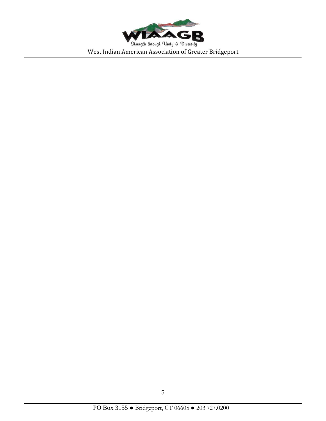